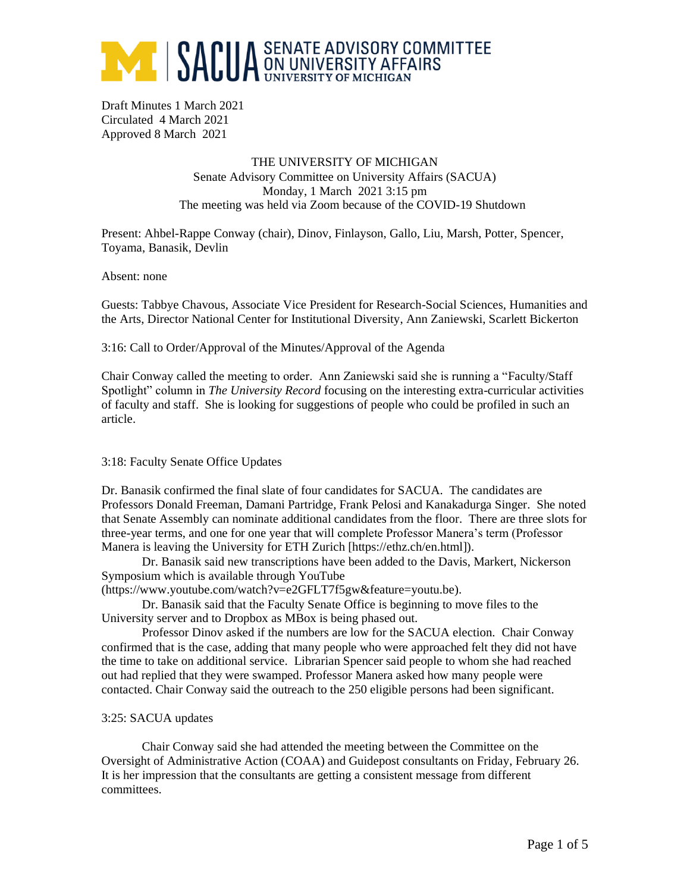

Draft Minutes 1 March 2021 Circulated 4 March 2021 Approved 8 March 2021

> THE UNIVERSITY OF MICHIGAN Senate Advisory Committee on University Affairs (SACUA) Monday, 1 March 2021 3:15 pm The meeting was held via Zoom because of the COVID-19 Shutdown

Present: Ahbel-Rappe Conway (chair), Dinov, Finlayson, Gallo, Liu, Marsh, Potter, Spencer, Toyama, Banasik, Devlin

Absent: none

Guests: Tabbye Chavous, Associate Vice President for Research-Social Sciences, Humanities and the Arts, Director National Center for Institutional Diversity, Ann Zaniewski, Scarlett Bickerton

3:16: Call to Order/Approval of the Minutes/Approval of the Agenda

Chair Conway called the meeting to order. Ann Zaniewski said she is running a "Faculty/Staff Spotlight" column in *The University Record* focusing on the interesting extra-curricular activities of faculty and staff. She is looking for suggestions of people who could be profiled in such an article.

### 3:18: Faculty Senate Office Updates

Dr. Banasik confirmed the final slate of four candidates for SACUA. The candidates are Professors Donald Freeman, Damani Partridge, Frank Pelosi and Kanakadurga Singer. She noted that Senate Assembly can nominate additional candidates from the floor. There are three slots for three-year terms, and one for one year that will complete Professor Manera's term (Professor Manera is leaving the University for ETH Zurich [https://ethz.ch/en.html]).

Dr. Banasik said new transcriptions have been added to the Davis, Markert, Nickerson Symposium which is available through YouTube

(https://www.youtube.com/watch?v=e2GFLT7f5gw&feature=youtu.be).

Dr. Banasik said that the Faculty Senate Office is beginning to move files to the University server and to Dropbox as MBox is being phased out.

Professor Dinov asked if the numbers are low for the SACUA election. Chair Conway confirmed that is the case, adding that many people who were approached felt they did not have the time to take on additional service. Librarian Spencer said people to whom she had reached out had replied that they were swamped. Professor Manera asked how many people were contacted. Chair Conway said the outreach to the 250 eligible persons had been significant.

#### 3:25: SACUA updates

Chair Conway said she had attended the meeting between the Committee on the Oversight of Administrative Action (COAA) and Guidepost consultants on Friday, February 26. It is her impression that the consultants are getting a consistent message from different committees.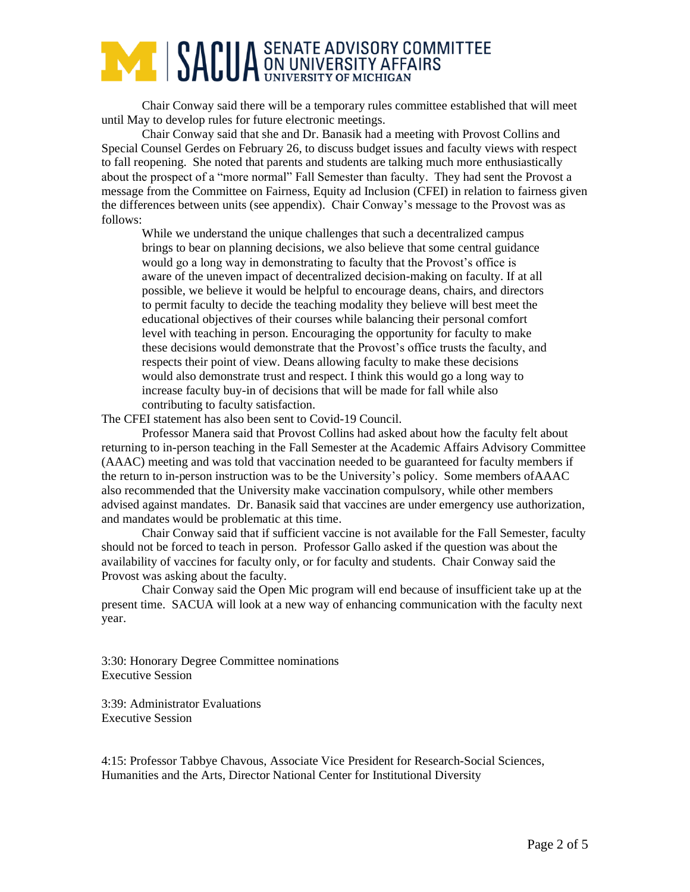# **ANDUA** SENATE ADVISORY COMMITTEE

Chair Conway said there will be a temporary rules committee established that will meet until May to develop rules for future electronic meetings.

Chair Conway said that she and Dr. Banasik had a meeting with Provost Collins and Special Counsel Gerdes on February 26, to discuss budget issues and faculty views with respect to fall reopening. She noted that parents and students are talking much more enthusiastically about the prospect of a "more normal" Fall Semester than faculty. They had sent the Provost a message from the Committee on Fairness, Equity ad Inclusion (CFEI) in relation to fairness given the differences between units (see appendix). Chair Conway's message to the Provost was as follows:

While we understand the unique challenges that such a decentralized campus brings to bear on planning decisions, we also believe that some central guidance would go a long way in demonstrating to faculty that the Provost's office is aware of the uneven impact of decentralized decision-making on faculty. If at all possible, we believe it would be helpful to encourage deans, chairs, and directors to permit faculty to decide the teaching modality they believe will best meet the educational objectives of their courses while balancing their personal comfort level with teaching in person. Encouraging the opportunity for faculty to make these decisions would demonstrate that the Provost's office trusts the faculty, and respects their point of view. Deans allowing faculty to make these decisions would also demonstrate trust and respect. I think this would go a long way to increase faculty buy-in of decisions that will be made for fall while also contributing to faculty satisfaction.

The CFEI statement has also been sent to Covid-19 Council.

Professor Manera said that Provost Collins had asked about how the faculty felt about returning to in-person teaching in the Fall Semester at the Academic Affairs Advisory Committee (AAAC) meeting and was told that vaccination needed to be guaranteed for faculty members if the return to in-person instruction was to be the University's policy. Some members ofAAAC also recommended that the University make vaccination compulsory, while other members advised against mandates. Dr. Banasik said that vaccines are under emergency use authorization, and mandates would be problematic at this time.

Chair Conway said that if sufficient vaccine is not available for the Fall Semester, faculty should not be forced to teach in person. Professor Gallo asked if the question was about the availability of vaccines for faculty only, or for faculty and students. Chair Conway said the Provost was asking about the faculty.

Chair Conway said the Open Mic program will end because of insufficient take up at the present time. SACUA will look at a new way of enhancing communication with the faculty next year.

3:30: Honorary Degree Committee nominations Executive Session

3:39: Administrator Evaluations Executive Session

4:15: Professor Tabbye Chavous, Associate Vice President for Research-Social Sciences, Humanities and the Arts, Director National Center for Institutional Diversity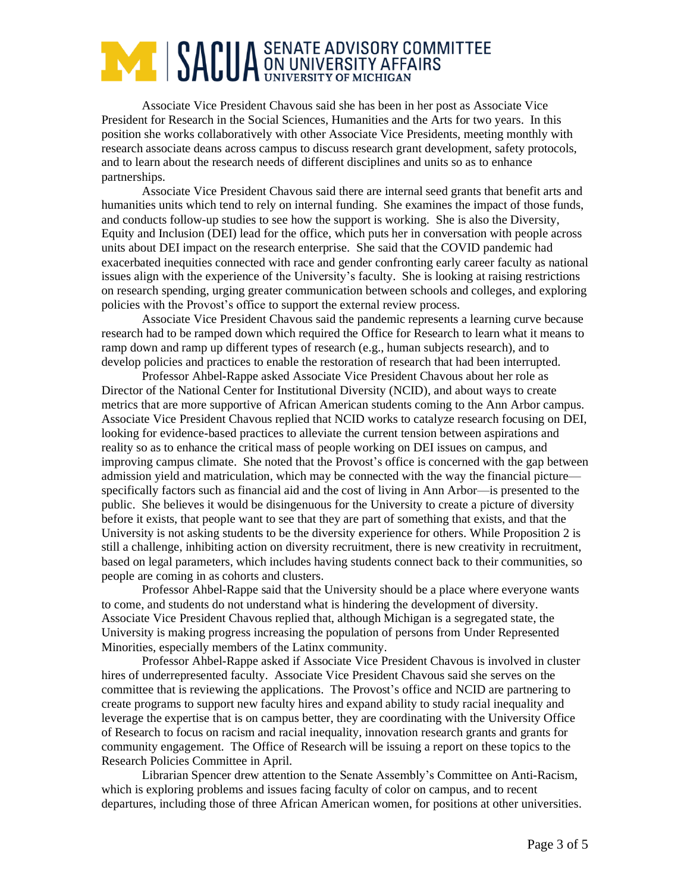### **ANDUA** SENATE ADVISORY COMMITTEE

Associate Vice President Chavous said she has been in her post as Associate Vice President for Research in the Social Sciences, Humanities and the Arts for two years. In this position she works collaboratively with other Associate Vice Presidents, meeting monthly with research associate deans across campus to discuss research grant development, safety protocols, and to learn about the research needs of different disciplines and units so as to enhance partnerships.

Associate Vice President Chavous said there are internal seed grants that benefit arts and humanities units which tend to rely on internal funding. She examines the impact of those funds, and conducts follow-up studies to see how the support is working. She is also the Diversity, Equity and Inclusion (DEI) lead for the office, which puts her in conversation with people across units about DEI impact on the research enterprise. She said that the COVID pandemic had exacerbated inequities connected with race and gender confronting early career faculty as national issues align with the experience of the University's faculty. She is looking at raising restrictions on research spending, urging greater communication between schools and colleges, and exploring policies with the Provost's office to support the external review process.

Associate Vice President Chavous said the pandemic represents a learning curve because research had to be ramped down which required the Office for Research to learn what it means to ramp down and ramp up different types of research (e.g., human subjects research), and to develop policies and practices to enable the restoration of research that had been interrupted.

Professor Ahbel-Rappe asked Associate Vice President Chavous about her role as Director of the National Center for Institutional Diversity (NCID), and about ways to create metrics that are more supportive of African American students coming to the Ann Arbor campus. Associate Vice President Chavous replied that NCID works to catalyze research focusing on DEI, looking for evidence-based practices to alleviate the current tension between aspirations and reality so as to enhance the critical mass of people working on DEI issues on campus, and improving campus climate. She noted that the Provost's office is concerned with the gap between admission yield and matriculation, which may be connected with the way the financial picture specifically factors such as financial aid and the cost of living in Ann Arbor—is presented to the public. She believes it would be disingenuous for the University to create a picture of diversity before it exists, that people want to see that they are part of something that exists, and that the University is not asking students to be the diversity experience for others. While Proposition 2 is still a challenge, inhibiting action on diversity recruitment, there is new creativity in recruitment, based on legal parameters, which includes having students connect back to their communities, so people are coming in as cohorts and clusters.

Professor Ahbel-Rappe said that the University should be a place where everyone wants to come, and students do not understand what is hindering the development of diversity. Associate Vice President Chavous replied that, although Michigan is a segregated state, the University is making progress increasing the population of persons from Under Represented Minorities, especially members of the Latinx community.

Professor Ahbel-Rappe asked if Associate Vice President Chavous is involved in cluster hires of underrepresented faculty. Associate Vice President Chavous said she serves on the committee that is reviewing the applications. The Provost's office and NCID are partnering to create programs to support new faculty hires and expand ability to study racial inequality and leverage the expertise that is on campus better, they are coordinating with the University Office of Research to focus on racism and racial inequality, innovation research grants and grants for community engagement. The Office of Research will be issuing a report on these topics to the Research Policies Committee in April.

Librarian Spencer drew attention to the Senate Assembly's Committee on Anti-Racism, which is exploring problems and issues facing faculty of color on campus, and to recent departures, including those of three African American women, for positions at other universities.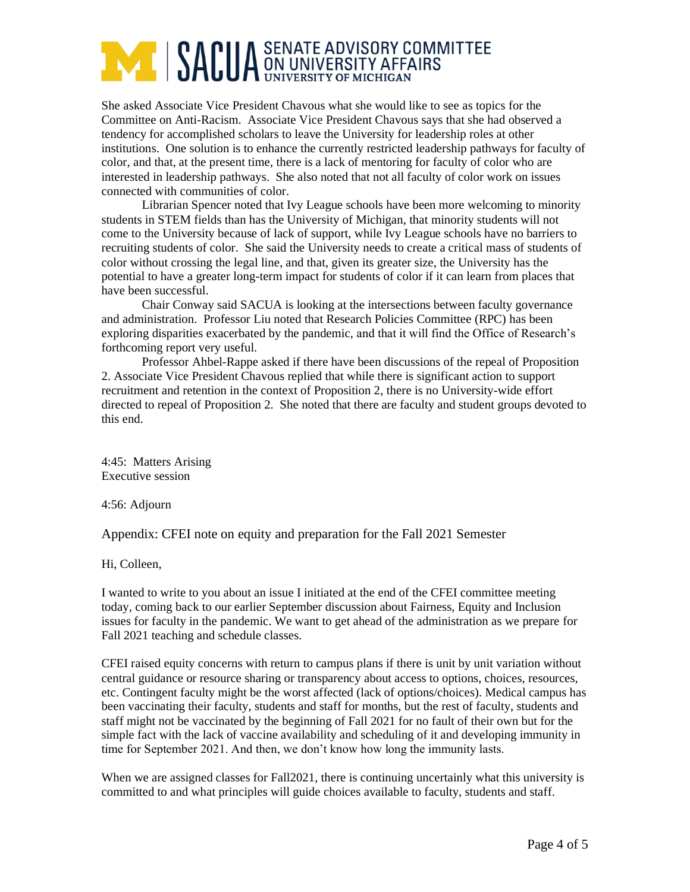## **AND SACUA** SENATE ADVISORY COMMITTEE

She asked Associate Vice President Chavous what she would like to see as topics for the Committee on Anti-Racism. Associate Vice President Chavous says that she had observed a tendency for accomplished scholars to leave the University for leadership roles at other institutions. One solution is to enhance the currently restricted leadership pathways for faculty of color, and that, at the present time, there is a lack of mentoring for faculty of color who are interested in leadership pathways. She also noted that not all faculty of color work on issues connected with communities of color.

Librarian Spencer noted that Ivy League schools have been more welcoming to minority students in STEM fields than has the University of Michigan, that minority students will not come to the University because of lack of support, while Ivy League schools have no barriers to recruiting students of color. She said the University needs to create a critical mass of students of color without crossing the legal line, and that, given its greater size, the University has the potential to have a greater long-term impact for students of color if it can learn from places that have been successful.

Chair Conway said SACUA is looking at the intersections between faculty governance and administration. Professor Liu noted that Research Policies Committee (RPC) has been exploring disparities exacerbated by the pandemic, and that it will find the Office of Research's forthcoming report very useful.

Professor Ahbel-Rappe asked if there have been discussions of the repeal of Proposition 2. Associate Vice President Chavous replied that while there is significant action to support recruitment and retention in the context of Proposition 2, there is no University-wide effort directed to repeal of Proposition 2. She noted that there are faculty and student groups devoted to this end.

4:45: Matters Arising Executive session

4:56: Adjourn

Appendix: CFEI note on equity and preparation for the Fall 2021 Semester

Hi, Colleen,

I wanted to write to you about an issue I initiated at the end of the CFEI committee meeting today, coming back to our earlier September discussion about Fairness, Equity and Inclusion issues for faculty in the pandemic. We want to get ahead of the administration as we prepare for Fall 2021 teaching and schedule classes.

CFEI raised equity concerns with return to campus plans if there is unit by unit variation without central guidance or resource sharing or transparency about access to options, choices, resources, etc. Contingent faculty might be the worst affected (lack of options/choices). Medical campus has been vaccinating their faculty, students and staff for months, but the rest of faculty, students and staff might not be vaccinated by the beginning of Fall 2021 for no fault of their own but for the simple fact with the lack of vaccine availability and scheduling of it and developing immunity in time for September 2021. And then, we don't know how long the immunity lasts.

When we are assigned classes for Fall2021, there is continuing uncertainly what this university is committed to and what principles will guide choices available to faculty, students and staff.